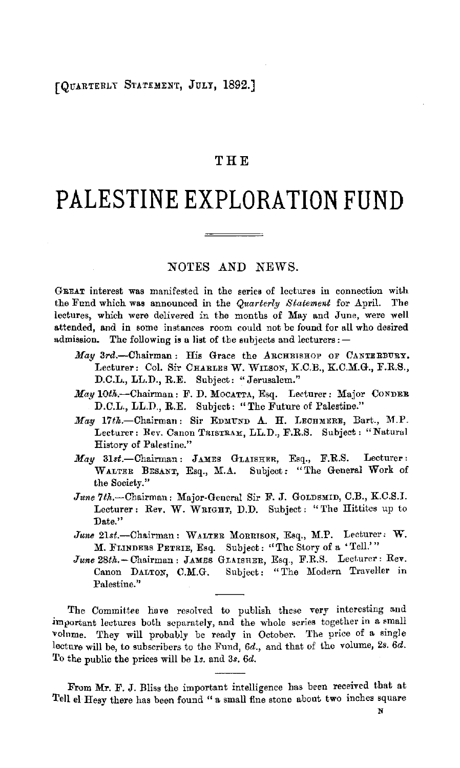# [QUARTERLY STATEMENT, JULY, 1892.]

# **THE**

# **PALESTINE EXPLORATION FUND**

## NOTES AND NEWS.

GREAT interest was manifested in the series of lectures in connection with the Fund which **was** announced in the *Quarterly Statement* for April. The lectures, which were delivered in the months of May and June, were well attended, and in some instances room could not be found for all who desired admission. The following is a list of the subjects and lecturers: -

- May 3rd.-Chairman: His Grace the ARCHBISHOP OF CANTERBURY. Lecturer: Col. Sir CHARLES W. WILSON, K.C.B., K.C.M.G., F.R.S., D.C.L., LL.D., R.E. Subject: "Jerusalem."
- *May* l0th.-Chairman: F. D. MocATTA, Esq. Lecturer: Major CONDER D.C.L., LL.D., R.E. Subject: "The Future of Palestine."
- *May* 17th.-Chairma11: Sir EDMUND **A. H.** LECHMERE, Bart., **M.P.**  Lecturer: Rev. Canon TRISTRAM, LL.D., F.R.S. Subject: "Natural History of Palestine."
- *May* 31st.-Chairman: JAMES GLAISHER, Esq., F.R.S. Lecturer: WALTER BESANT, Esq., M.A. Subject: "The General Work of the Society."
- June 7th.-Chairman: Major-General Sir F. J. GOLDSMID, C.B., K.C.S.I. Lecturer: Rev. W. WRIGHT, D.D. Subject: "The Hittites up to Date."
- *June* 2lst.-Chairman: WALTER MORRISON, Esq., M.P. Lecturer: **W. M.** FLINDERS PETRIE, Esq. Subject: '' The Story of a 'Tell.' "
- June 28th. Chairman: JAMES GLAISHER, Esq., F.R.S. Lecturer: Rev. Canon DALTON, C.M.G. Subject: "The Modern Traveller in Palestine."

The Committee have resolved to publish these very interesting and important lectures both separately, and the whole series together in a small volnme. They will probably be ready in October. The price of a single lecture will be, to subscribers to the Fund, 6d., and that of the volume, 2s. 6d. To the public the prices will be ls. and 3s. 6d.

From **Mr.** F. J. Bliss the important intelligence has been received that at Tell el Hesy there has been found "a small fine stone about two inches square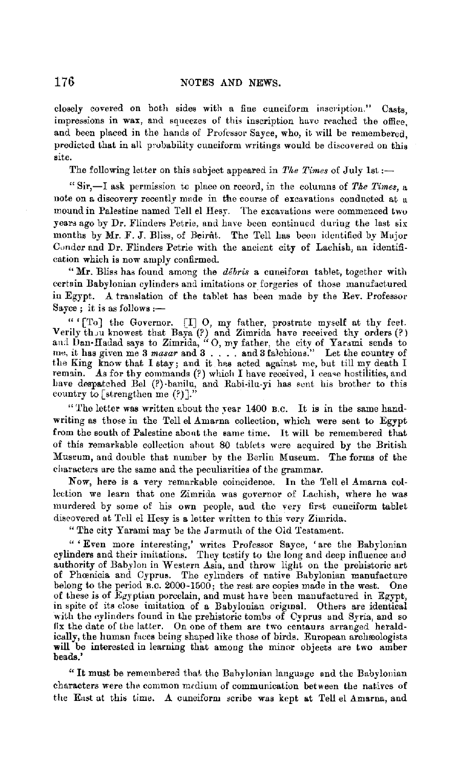closely covered on both sides with a fine cuneiform inscription." Casts, impressions in wax, and squeezes of this inscription have reached the office, and been placed in the hands of Professor Sayce, who, it will be remembered, predicted that in all probability cuneiform writings would be discovered on this site.

The following letter on this subject appeared in *The Times* of July 1st :-

" Sir,-1 ask permission to place on record, in the columns of *Tke Times,* a note on a discovery recently made in the course of excavations conducted at a mound in Palestine named Tell el Hesy. The excavations were commenced two years ago by Dr. Flinders Petrie, and have been continued during the last six months by Mr. F. J. Bliss, of Beirut. The Tell has been identified by Major Cunder and Dr. Flinders Petrie with the ancient city of Lachish, an identification which is now amply confirmed.

**"Mr.** Bliss has found among the *debris* a cuneiform tablet, together with certain Babylonian cylinders and imitations or forgeries of those manufactured in Egypt. A translation of the tablet has been made by the Rev. Professor Sayce; it is as follows :-

" (To] the Governor. [I] O, my father, prostrate myself at thy feet.<br>Verily thou knowest that Baya (?) and Zimrida have received thy orders (?) and  $\lim_{n \to \infty}$  and  $\lim_{n \to \infty}$  father, the city of Yarami sends to  $\lim_{n \to$ remain. As for thy commands (?) which I have received, I cease hostilities, and have despatched Bel (?)-banilu, and Rabi-ilu-yi has sent his brother to this country to [strengthen me  $(?)$ ].

"The letter was written about the year 1400 B.C. It is in the same handwriting as those in the Tell el Amarna collection, which were sent to Egypt from the south of Palestine abont the same time. It will be remembered that of this remarkable collection ahout 80 fablets were acquired by the British Museum, and double that number by the Berlin Museum. The forms of the characters are the same and the peculiarities of the grammar.

Now, here is a very remarkable coincidence. In the Tell el Amarna collection we learn that one Zimrida was governor of Lachish, where he was murdered by some of his own people, and the very first cuneiform tablet discovered at Tell el Hesy is a letter written to this very Zimrida.

"The city Yarami may be the Jarmuth of the Old Testament.

" ' Even more interesting,' writes Professor Sayce, 'are the Babylonian cylinders and their imitations. They testify to the long and deep influence aud authority of Babylon in Western Asia, and throw light on the prehistoric art of Phamicia and Cyprus. The cylmders of native Babylonian manufacture belong to the period B.C. 2000-1500; the rest are copies made in the west. One of these is of Egyptian porcelain, and must have been manufactured in Egypt, in spite of its close imitation of a Babylonian original. Others are identical with the cylinders found in the prehistoric tombs of Cyprus and Syria, and so fix the date of the latter. On one of them are two centaurs arranged heraldically, the human faces being shaped like those of birds. European archæologists **will** be interested in learning that among the minor objects are two amber beads.'

"It must be remembered that the Babylonian language and the Babylonian characters were the common medium of communication between the natives of the East at this time. A cuneiform scribe was kept at Tell el Amarna, and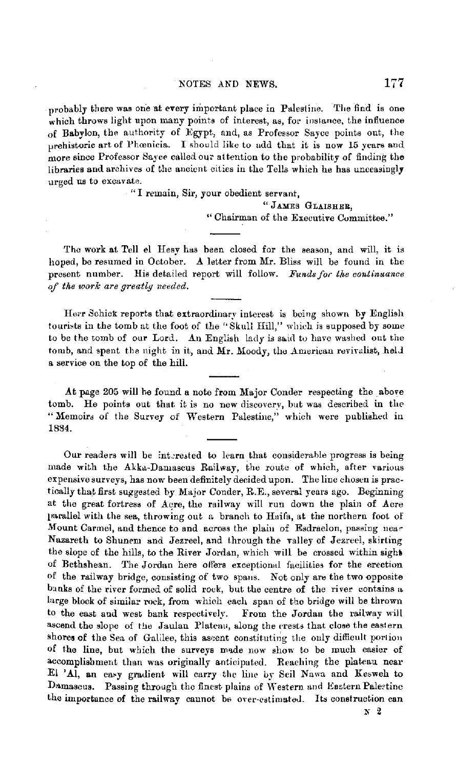probably there was one at every important place in Palestine. The find is one which throws light upon many points of interest, as, for instance, the influence of Babylon, the authority of Egypt, and, as Professor Sayce points out, the prehistoric art of Phoonicia. I should like to add that it is now 15 years and more since Professor Sayce called our attention to the probability of finding the libraries and archives of the ancient cities in the Tells which he has unceasingly urged us to excavate.

> "I remain, Sir, your obedient servant, " JAMES GLAISHER, " Chairman of the Executive Committee."

The work at Tell el Hesy has been closed for the season, and will, it is hoped, be resumed in October. A letter from Mr. Bliss will be found in the present number. His detailed report will follow. Funds for the continuance *of tke work are greatly needed.* 

Herr Schick reports that extraordinary interest is being shown by English tourists in the tomb at the foot of the "Skull Hill," which is supposed by some to be the tomb of our Lord. An English lady is saicl to have washed out the tomb, and spent the night in it, and Mr. Moody, the American revivalist, held a service on the top of the hill.

.At page 205 will he found a note from Major Conder respecting the above tomb. He points out that it is no new discovery, but was described in the "Memoirs of the Survey of Western Palestine," which were published in 1884.

Our readers will be interested to learn that considerable progress is being made with the Akka-Damascus Railway, the route of which, after various expensive surveys, has now been definitely decided upon. The line chosen is practically that first suggested by Major Conder, R.E., several years ago. Beginning at the great fortress of Acre, the railway will run down the plain of Acre parallel with the sea, throwing out a branch to Huifa, at the northern foot of Mount Carmel, and thence to and across the plain of Esdraelon, passing near Nazareth to Shunem and Jezreel, and through the valley of Jezreel, skirting the slope of the hills, to the River Jordan, which will be crossed within sighi of Bethshean. The Jordan here olfers exceptional facilities for the erection of the railway bridge, consisting of two spans. Not only are the two opposite banks of the river formed of solid rock, but the centre of the river contains a large block of similar rock, from which each span of the bridge will be thrown to the east and west bank respectively. From the Jordan the railway will ascend the slope of the Jaulan Plateau, along the crests that close the eastern shores of the Sea of Galilee, this ascent constituting the only difficult portion of the line, but which the surveys made now show to be much easier of accomplishment than was originally anticipated. Reaching the plateau near El 'Al, **an** ea•y gradient will carry the line oy Seil Nawa and Kesweh to Damascus. Passing through the finest plains of Western and Eastern Paletine the importance of the railway cannot be over-estimated. Its construction can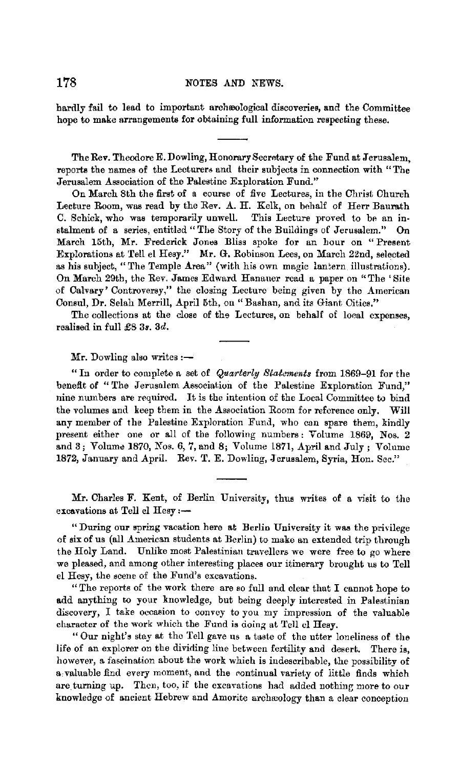hardly fail to lead to important archeological discoveries, and the Committee hope to make arrangements for obtaining full information respecting these.

The **Rev.** Theodore E. Dowling, Honorary Secretary of the Fund at Jerusalem, reports the names of the Lecturers and their subjects in connection with "The Jerusalem Association of the Palestine Exploration Fund."

On March 8th the first of a course of five Lectures, in the Christ Church Lecture Room, was read by the Rev. A. H. Kelk, on behalf of Herr Baurath C. Schick, who was temporarily unwell. This Lecture proved to be an instalment of a series, entitled "The Story of the Buildings of Jerusalem." On March 15th, Mr. Frederick Jones Bliss spoke for an hour on "Present Explorations at Tell el Hesy." Mr. G. Robinson Lees, on March 22nd, selected as his subject, "The Temple Area" (with his own magic lantern illustrations). On March 29th, the Rev. James Edward Hanauer read a paper on "The 'Site of Calvary' Controversy," the closing Lecture being given by the American Consul, Dr. Selah Merrill, April 5th, on "Bashan, and its Giant Cities."

The collections at the close of the Lectures, on behalf of loeal expenses, realised in full £8 *3s. 3d.* 

 $Mr.$  Dowling also writes  $:$   $-$ 

" In order to complete a set of *Quarterly Statements* from 1869-91 for the benefit of " The Jerusalem Association of the Palestine Exploration Fund," nine numbers are required. It is the intention of the Local Committee to bind the volumes and keep tbem in the Association Room for reference only. Will any member of the Palestine Exploration Fund, who can spare them, kindly present either one or all of the following numbers: Volume 1869, Nos. **2**  and 3; Volume 1870, Nos. 6, 7, and 8; Volume 1871, April and July; Volume 1872, January and April. Rev. T. E. Dowling, Jerusalem, Syria, Hon. Sec."

Mr. Charles F. Kent, of Berlin University, thus writes of a visit to the excavations at Tell el Hesy :-

" During our spring vacation here at Berlin University it was the privilege of six of us (all American students at Berlin) to make an extended trip through the Holy Land. Unlike most Palestinian travellers we were free to go where we pleased, and among other interesting places our itinerary brought us to Tell el Hesy, the scene of the Fund's excavations.

"The reports of the work there are so full and clear that I cannot hope to add anything to your knowledge, but being deeply interested in Palestinian discovery, I take occasion to convey to you my impression of the valuable character of the work which the Fund is doing at Tell cl Hesy.

"Our night's stay at the Tell gave us a taste of the utter loneliness of the life of an explorer on the dividing line between fertility and desert. There is, however, a fascination about the work which is indescribable, the possibility of a valuable find every moment, and the continual variety of little finds which are turning up. Then, too, if the excavations had added nothing more to our knowledge of ancient Hebrew and Amorite archeology than a clear conception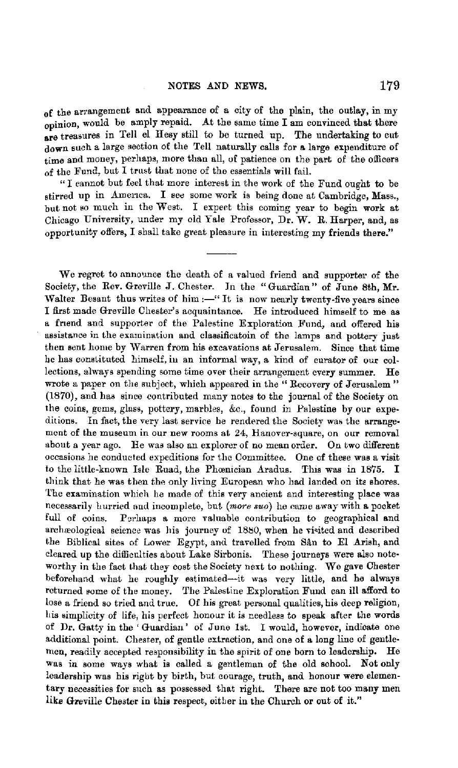of the arrangement and appearance of a city of the plain, the outlay, in my opinion, would be amply repaid. At the same time  $I$  am convinced that there are treasures in Tell el Hesy still to be turned up. The undertaking to cut down such a large section of the Tell naturally calls £or a large expenditure of time and money, perhaps, more than all, of patience on the part of the officers of the Fund, but I trust that none of the essentials will fail.

" I cannot but foel that more interest in the work of the Fund ought to be stirred up in America. I see some work is being done at Cambridge, Mass., but not so much in the West. I expect this coming year to begin work at Chicago University, under my old Yale Professor, Dr. W. R. Harper, and, as opportunity offers, I shall take great pleasure in interesting my friends there."

We regret to announce the death of a valued friend and supporter of the Society, the Rev. Greville J. Chester. In the "Guardian" of June 8th, **Mr.**  Walter Besant thus writes of him  $:-$  It is now nearly twenty-five years since I first made Greville Chester's acquaintance. He introduced himself to me as a friend and supporter of the Palestine Exploration Fund, and offered his assistance in the examination and classificatoin of the lamps and pottery just then sent home by Warren from his excavations at Jerusalem. Since that time he has constituted himself, iu an informal way, a kind of curator of our collections, always spending some time over their arrangement every summer. He wrote a paper on the subject, which appeared in the "Recovery of Jerusalem" (1870), and has since contributed many notes to the journal of the Society on the coins, gems, glass, pottery, marbles, &c., found in Palestine by our expeditions. In fact, the very last service he rendered the Society was the arrangement of the museum in our new rooms at 24, Hanover-square, on our removal about a year ago. He was also an explorer of no mean order. On two different occasions be conducted expeditions for the Committee. One of these was a visit to the little-known Isle Ruad, the Phœnician Aradus. This was in 1875. I think that he was then the only living European who had landed on its shores. The examination which he made of this very ancient and interesting place was necessarily hurried and incomplete, but *(more suo)* he came away with a pocket full of coins. Perhaps a more valuable contribution to geographical and archæological science was his journey of 1880, when he visited and described the Biblical sites of Lower Egypt, and travelled from San to El Arish, and cleared up the difficnlties about Lake Sirbonis. These journeys were also noteworthy in the fact that they cost the Society next to nothing. We gave Chester beforehand what he roughly estimated-it was very little, and he always returned some of the money. The Palestine Exploration Fund can ill afford to lose a friend so tried and true. Of his great personal qualities, his deep religion, his simplicity of life, his perfect honour it is needless to speak after the words of Dr. Gatty in the 'Guardian' of June 1st. I would, however, indicate one additional point. Chester, of gentle extraction, and one of a long line of gentlemen, readily accepted responsibility in the spirit of one born to leadership. He was in some ways what is called a gentleman of the old school. Not only leadership was his right by birth, but courage, truth, and honour were elementary necessities for such as possessed that right. There are not too many men like Greville Chester in this respect, either in the Church or out of it."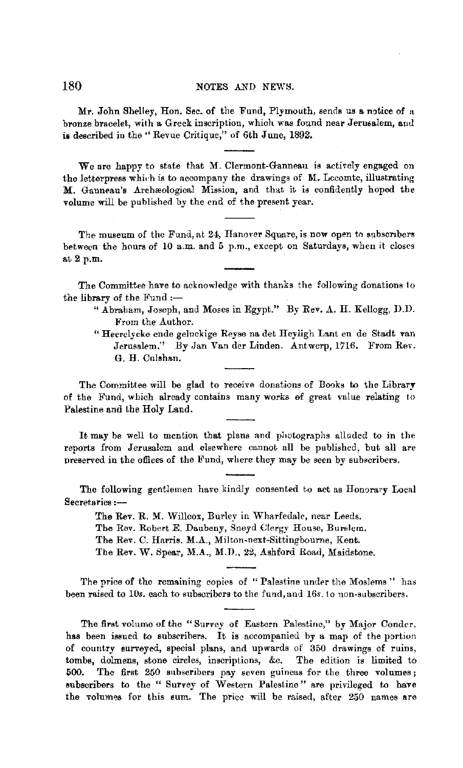### 180 NOTES AND NEWS.

Mr. John Shelley, Hon. Sec. of the Fund, Plymouth, sends us a notice of a bronze bracelet, with a Greek inscription, which was found near Jerusalem, and **is** described in the" Revue Critique," of 6th June, 1892.

We are happy to state that M. Clermont-Ganneau is actively engaged on the letterpress which is to accompany the drawings of M. Lecomte, illustrating M. Ganneau's Archæological Mission, and that it is confidently hoped the volume will be published by the end of the present year.

The museum of the Fund, at 24, Hanover Square, is now open to subscribers between the hours of 10 a.m. and 5 p.m., except on Saturdays, when it closes ai2p.m.

The Committee have to acknowledge with thanks the following donations lo the library of the Fund  $:$ --

- " Abraham, Joseph, and Moses in Egypt." By Rev.  $A$ . H. Kellogg, D.D. From the Author.
- " Heerclycke ende geluckige Reyse na det Heyligh Lant en de Stadt van Jerusalem." By Jan Van der Linden. Antwerp, 1716. From Rev. G. H. Culshan.

The Committee will be glad to receive donations of Books to the Library of the Fund, which already contains many works of great value relating to Palestine and the Holy Land.

It may be well to mention that plans and photographs alluded to in the reports from Jerusalem and elsewhere cannot all be published, but all are preserved in the offices of the Fund, where they may be seen by subscribers.

The following gentlemen have kindly consented to act as Honorary Local Secretaries :-

The Rev. R. M. Willcox, Burley in Wharfedale, near Leeds. The Rev. Robert E. Daubeny, Sneyd Clergy House, Burslem. The Rev. C. Harris. M.A., Milton-next-Sittingbourne, Kent.

The Rev. W. Spear, M.A., M.D., 22, Ashford Road, Maidstone.

The price of the remaining copies of " Palestine under the Moslems " has been raised to 10s. each to subscribers to the fund, and 16s. to non-subscribers.

The first volume of the "Survey of Eastern Palestine," by Major Conder, has been issued to subscribers. It is accompanied by a map of the portion of country surveyed, special plans, and upwards of 350 drawings of ruins, tombs, dolmens, stone circles, inscriptions, &c. The edition is limited to 500. The first 250 subscribers pay seven guineas for the three volumes; subscribers to the " Survey of Western Palesline" are privileged to have the volumes for this sum. The price will be raised, after 250 names are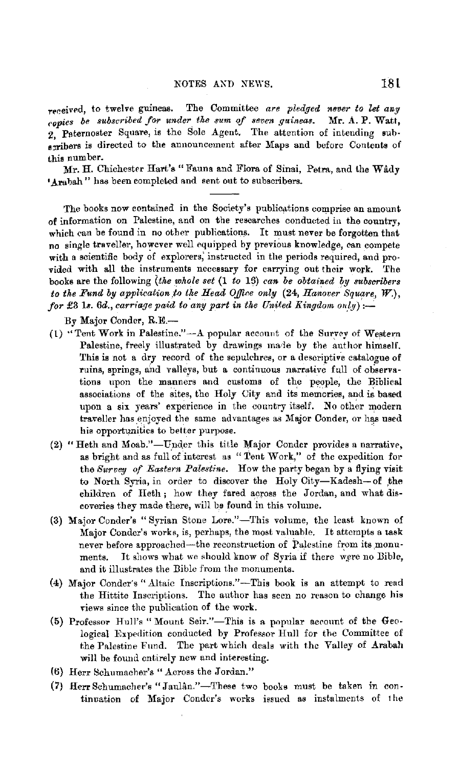received, to twelve guineas. The Committee are pledged never to let any *ropies be subscribed for under\_ the sum of seven guineas.* Mr. A. P. Watt,  $2.$  Paternoster Square, is the Sole Agent. The attention of intending subs, ribers is directed to the announcement after Maps and before Contents of this number.

Mr. H. Chichester Hart's "Fauna and Flora of Sinai, Petra, and the Wady 'Arabah" has been completed and sent out to subscribers.

The books now contained in the Society's publications comprise an amount of information on Palestine, and on the researches conducted in the country, which can be found in no other publications. It must never be forgotten that no single traveller, however well equipped by previous knowledge, can compete with a scientific body of explorers, instructed in the periods required, and provided with all the instruments necessary for carrying out their work. The books are the following *{the whole set* (1 *to* IS) *can be obtained by subscribers to the Fund by application to the Head Office only (24, Hanover Square, W.), for* £3 1s.  $6d$ , carriage paid to any part in the United Kingdom only):-

By Major Conder, R.E.-

- (1) "Tent Work in Palestine."--- A popular account of the Survey of Western Palestine, freely illustrated by drawings made by the author himself. This is not a dry record of the sepulchres, or a descriptive catalogue of ruins, springs, and valleys, but a continuous narrative full of observations upon the manners and customs of the people, the Biblical associations of the sites, the Holy City and its memories, and is based upon a six years' experience in the country itself. No other modern traveller has enjoyed the same advantages as Major Conder, or has used his opportunities to better purpose.
- (2) "Heth and Moab."-Under this title Major Conder provides a narrative, as bright and as full of interest as "Tent Work," of the expedition for the *Survey of Eastern Palestine*. How the party began by a flying visit to North Syria, in order to discover the Holy City-Kadesh-of the children of Heth ; how they fared across the Jordan, and what discoveries they made there, will be found in this volume.
- (3) Major Conder's "Syrian Stone Lore."-This volume, the least known of Major Conder's works, is, perhaps, the most valuable. It attempts a task never before approached-the reconstruction of Palestine from its monuments. It shows what we should know of Syria if there were no Bible, and it illustrates the Bible from the monuments.
- (4) Major Conder's "Altaic Inscriptions."-This book is an attempt to read the Hittite Inscriptions. The author has seen no reason to change his views since the publication of the work.
- (5) Professor Hull's "Mount Seir."-This is a popular account of the Geological Expedition conducted by Professor Hull for the Committee of the Palestine Fund. The part which deals with the Valley of Arabah will be found entirely new and interesting.
- (6) Herr 8chumacher's "Across the Jordan."
- (7) Herr Schumacher's "Jaulân."-These two books must be taken in continuation of Major Conder's works issued as instalments of the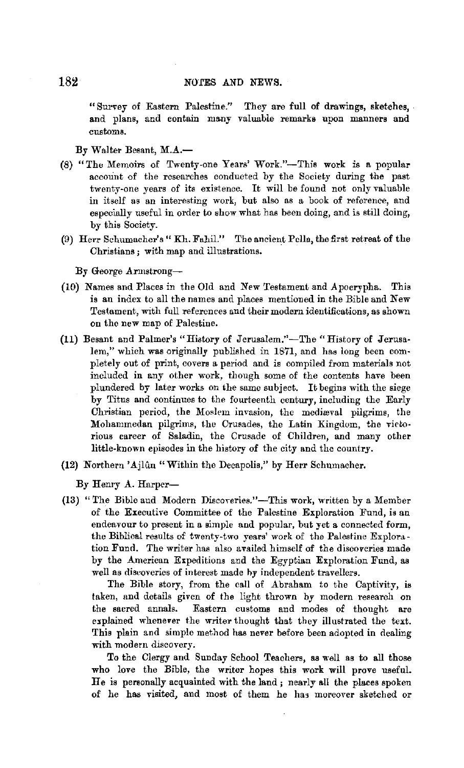"Survey of Eastern Palestine." They are full of drawings, sketches, . and plans, and contain many valuable remarks upon manners and customs.

#### By Walter Besant, M.A.-

- (8) "The Memoirs of Twenty-one Years' Work."-This work is a popular account of the researches conducted by the Society during the past twenty-one years of its existence. It will be found not only valuable in itself as an interesting work, but also as a book of reference, and especially useful in order to show what has been doing, and is still doing, by this Society.
- (9) Herr Schumacher's" Kh. Fahil." The ancient Pella, the first retreat of the Christians; with map and illustrations. ·

By George Armstrong-

- (10) Names and Places in the Old and New Testament and Apocrypha. This is an index to all the names and places mentioned in the Bible and New Testament, with full references and their modern identifications, as shown on the new map of Palestine.
- (11) Besant and Palmer's "History of Jerusalem."-The "History of Jerusalem," which was originally published in 1871, and has long been completely out of print, covers a period and is compiled from materials not included in any other work, though some of the contents have been plundered by later works on the same subject. It begins with the siege by Titus and continues to the fourteenth century, including the Early Christian period, the Moslem invasion, the medieval pilgrims, the Mohammedan pilgrims, the Crusades, the Latin Kingdom, the victorious career of Saladin, the Crusade of Children, and many other little-known episodes in the history of the city and the country.
- (12) Northern 'Ajlûn "Within the Decapolis," by Herr Schumacher.

By Henry A. Harper-

(13) "The Bible and Modern Discoveries."-This work, written by a Member of the Executive Committee of the Palestine Exploration Fund, is an endeavour to present in a simple and popular, but yet a connected form, the Biblical results of twenty-two years' work of the Palestine Exploration Fund. The writer has also availed himself of the discoveries made by the American Expeditions and the Egyptian Exploration Fund, as well as discoveries of interest made by independent travellers.

The Bible story, from the call of Abraham to the Captivity, is taken, and details given of the light thrown by modern research on the sacred annals. Eastern customs and modes of thought are explained whenever the writer thought that they illustrated the text. This plain and simple method has never before been adopted in dealing with modern discovery.

To the Clergy and Sunday School Teachers, as well as to all those who love the Bible, the writer hopes this work will prove useful. He is personally acquainted with the land; nearly all the places spoken of he has visited, and most of them he has moreover sketched or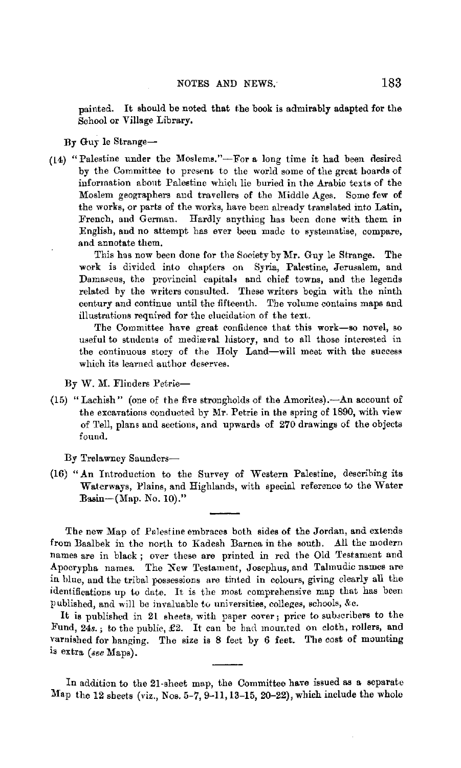painted. It should be noted that the book is admirably adapted for the School or Village Library.

#### By Guy le Strange-

( l 4) "Palestine under the Moslems."-For **a** long time it had been desired by the Committee to present to the world some of the great boards of information abont Palestine which lie buried in the Arabic texts of the Moslem geographers and travellers of the Middle Ages. Some few of the works, or parts of the works, have been already translated into Latin, French, and German. Hardly anything has been done with them in English, and no attempt has ever been made to systematise, compare, and annotate them.

This has now been done for the Society by Mr. Guy le Strange. The work is divided into chapters on Syria, Palestine, Jerusalem, and Damascus, the provincial capitals and chief towns, and the legends related by the writers consulted. These writers begin with the ninth century and continue until the fifteenth. The volume contains maps and illustrations required for the elucidation of the text.

The Committee have great confidence that this work-so novel, so useful to students of medieval history, and to all those interested in the continuous story of the Holy Land-will meet with the success which its learned author deserves.

By W. M. Flinders Petrie-

(15) "Lachish" (one of the five strongholds of the Amorites). $-An$  account of the excavations conducted by Mr, Petrie in the spring of 1890, with view of Tell, plans and sections, and upwards of 270 drawings of the objects found.

By Trelawney Saunders-

(16) "An Introduction to the Survey of Western Palestine, describing its Waterways, Plains, and Highlands, with special reference to the Water Basin- $(Map. No. 10).$ "

The new Map of Palestine embraces both sides of the Jordan, and extends from Baalbek in the north to Kadesh Barnca in the south. All the modern names are in black; over these are printed in red the Old Testament and Apocrypha names. The New Testament, Josephus, and Talmudic names are in blue, and the tribal possessions are tinted in colours, giving clearly all the identifications up to date. It is the most comprehensive map that has been published, and will be invaluable to universities, colleges, schools, &c.

It is published in 21 sheets, with paper cover; price to subscribers to the Fund, 24s.; to the public, £2. It can be had mounted on cloth, rollers, and varnished for hanging. The size is 8 feet by 6 feet. The cost of mounting is extra *(see* Maps).

In addition to the 21-sheet map, the Committee have issued **as a** separate Map the 12 sheets (viz., Nos. 5-7, 9-11, 13-15, 20-22), which include the whole